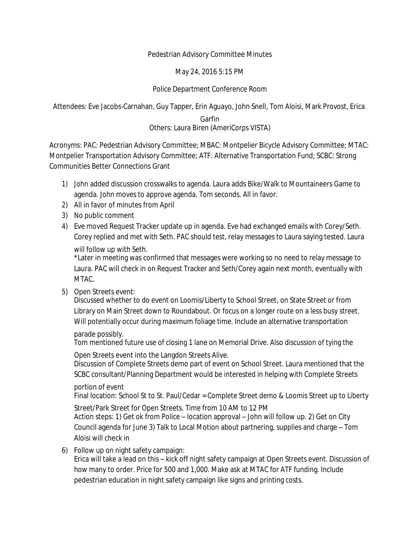## Pedestrian Advisory Committee Minutes

May 24, 2016 5:15 PM

## Police Department Conference Room

Attendees: Eve Jacobs-Carnahan, Guy Tapper, Erin Aguayo, John Snell, Tom Aloisi, Mark Provost, Erica

Garfin Others: Laura Biren (AmeriCorps VISTA)

Acronyms: PAC: Pedestrian Advisory Committee; MBAC: Montpelier Bicycle Advisory Committee; MTAC: Montpelier Transportation Advisory Committee; ATF: Alternative Transportation Fund; SCBC: Strong Communities Better Connections Grant

- 1) John added discussion crosswalks to agenda. Laura adds Bike/Walk to Mountaineers Game to agenda. John moves to approve agenda. Tom seconds. All in favor.
- 2) All in favor of minutes from April
- 3) No public comment
- 4) Eve moved Request Tracker update up in agenda. Eve had exchanged emails with Corey/Seth. Corey replied and met with Seth. PAC should test, relay messages to Laura saying tested. Laura will follow up with Seth.

\*Later in meeting was confirmed that messages were working so no need to relay message to Laura. PAC will check in on Request Tracker and Seth/Corey again next month, eventually with MTAC.

5) Open Streets event:

Discussed whether to do event on Loomis/Liberty to School Street, on State Street or from Library on Main Street down to Roundabout. Or focus on a longer route on a less busy street. Will potentially occur during maximum foliage time. Include an alternative transportation

## parade possibly.

Tom mentioned future use of closing 1 lane on Memorial Drive. Also discussion of tying the

Open Streets event into the Langdon Streets Alive.

Discussion of Complete Streets demo part of event on School Street. Laura mentioned that the SCBC consultant/Planning Department would be interested in helping with Complete Streets

## portion of event

Final location: School St to St. Paul/Cedar = Complete Street demo & Loomis Street up to Liberty

Street/Park Street for Open Streets. Time from 10 AM to 12 PM Action steps: 1) Get ok from Police – location approval – John will follow up. 2) Get on City Council agenda for June 3) Talk to Local Motion about partnering, supplies and charge – Tom Aloisi will check in

6) Follow up on night safety campaign:

Erica will take a lead on this – kick off night safety campaign at Open Streets event. Discussion of how many to order. Price for 500 and 1,000. Make ask at MTAC for ATF funding. Include pedestrian education in night safety campaign like signs and printing costs.